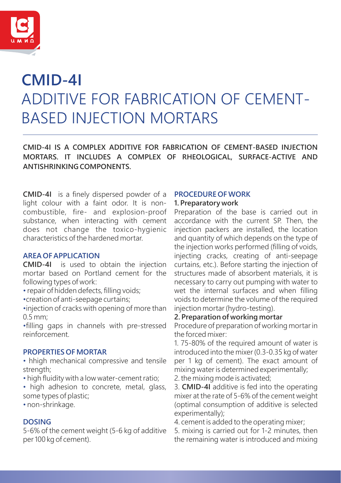

# ADDITIVE FOR FABRICATION OF CEMENT-BASED INJECTION MORTARS **CMID-4I**

**CMID-4I IS A COMPLEX ADDITIVE FOR FABRICATION OF CEMENT-BASED INJECTION MORTARS. IT INCLUDES A COMPLEX OF RHEOLOGICAL, SURFACE-ACTIVE AND ANTISHRINKING COMPONENTS.**

**CMID-4I** is a finely dispersed powder of a light colour with a faint odor. It is noncombustible, fire- and explosion-proof substance, when interacting with cement does not change the toxico-hygienic characteristics of the hardened mortar.

## **AREA OF APPLICATION**

**CMID-4I** is used to obtain the injection mortar based on Portland cement for the following types of work:

- repair of hidden defects, filling voids;
- •creation of anti-seepage curtains;

•injection of cracks with opening of more than 0.5 mm;

•filling gaps in channels with pre-stressed reinforcement.

#### **PROPERTIES OF MORTAR**

- hhigh mechanical compressive and tensile strength;
- high fluidity with a low water-cement ratio;
- high adhesion to concrete, metal, glass, some types of plastic;
- non-shrinkage.

## **DOSING**

5-6% of the cement weight (5-6 kg of additive per 100 kg of cement).

#### **PROCEDURE OF WORK 1. Preparatory work**

Preparation of the base is carried out in accordance with the current SP. Then, the injection packers are installed, the location and quantity of which depends on the type of the injection works performed (filling of voids, injecting cracks, creating of anti-seepage curtains, etc.). Before starting the injection of structures made of absorbent materials, it is necessary to carry out pumping with water to wet the internal surfaces and when filling voids to determine the volume of the required injection mortar (hydro-testing).

### **2. Preparation of working mortar**

Procedure of preparation of working mortar in the forced mixer:

1. 75-80% of the required amount of water is introduced into the mixer (0.3-0.35 kg of water per 1 kg of cement). The exact amount of mixing water is determined experimentally;

2. the mixing mode is activated;

3. **CMID-4I** additive is fed into the operating mixer at the rate of 5-6% of the cement weight (optimal consumption of additive is selected experimentally);

4. cement is added to the operating mixer;

5. mixing is carried out for 1-2 minutes, then the remaining water is introduced and mixing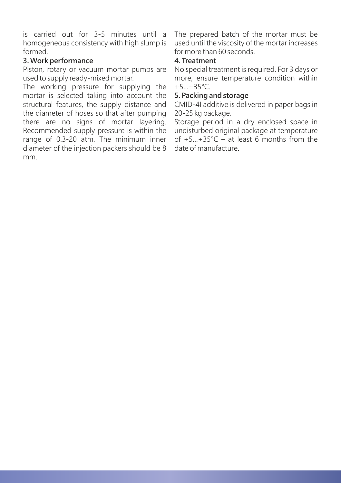is carried out for 3-5 minutes until a homogeneous consistency with high slump is formed.

## **3. Work performance**

Piston, rotary or vacuum mortar pumps are used to supply ready-mixed mortar.

The working pressure for supplying the mortar is selected taking into account the structural features, the supply distance and the diameter of hoses so that after pumping there are no signs of mortar layering. Recommended supply pressure is within the range of 0.3-20 atm. The minimum inner diameter of the injection packers should be 8 mm.

The prepared batch of the mortar must be used until the viscosity of the mortar increases for more than 60 seconds.

# **4. Treatment**

No special treatment is required. For 3 days or more, ensure temperature condition within  $+5...+35$ °C.

## **5. Packing and storage**

CMID-4I additive is delivered in paper bags in 20-25 kg package.

Storage period in a dry enclosed space in undisturbed original package at temperature of  $+5...+35$ °C – at least 6 months from the date of manufacture.